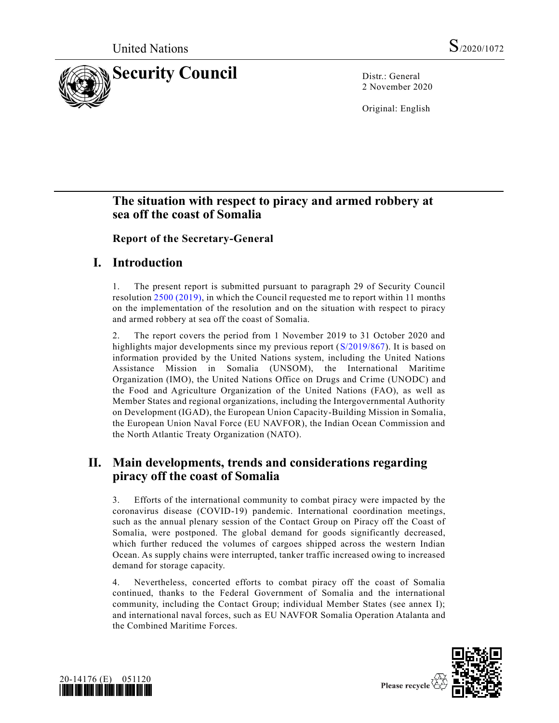

2 November 2020

Original: English

# **The situation with respect to piracy and armed robbery at sea off the coast of Somalia**

**Report of the Secretary-General**

## **I. Introduction**

1. The present report is submitted pursuant to paragraph 29 of Security Council resolution [2500 \(2019\),](https://undocs.org/en/S/RES/2500(2019)) in which the Council requested me to report within 11 months on the implementation of the resolution and on the situation with respect to piracy and armed robbery at sea off the coast of Somalia.

2. The report covers the period from 1 November 2019 to 31 October 2020 and highlights major developments since my previous report [\(S/2019/867\)](https://undocs.org/en/S/2019/867). It is based on information provided by the United Nations system, including the United Nations Assistance Mission in Somalia (UNSOM), the International Maritime Organization (IMO), the United Nations Office on Drugs and Crime (UNODC) and the Food and Agriculture Organization of the United Nations (FAO), as well as Member States and regional organizations, including the Intergovernmental Authority on Development (IGAD), the European Union Capacity-Building Mission in Somalia, the European Union Naval Force (EU NAVFOR), the Indian Ocean Commission and the North Atlantic Treaty Organization (NATO).

## **II. Main developments, trends and considerations regarding piracy off the coast of Somalia**

3. Efforts of the international community to combat piracy were impacted by the coronavirus disease (COVID-19) pandemic. International coordination meetings, such as the annual plenary session of the Contact Group on Piracy off the Coast of Somalia, were postponed. The global demand for goods significantly decreased, which further reduced the volumes of cargoes shipped across the western Indian Ocean. As supply chains were interrupted, tanker traffic increased owing to increased demand for storage capacity.

4. Nevertheless, concerted efforts to combat piracy off the coast of Somalia continued, thanks to the Federal Government of Somalia and the international community, including the Contact Group; individual Member States (see annex I); and international naval forces, such as EU NAVFOR Somalia Operation Atalanta and the Combined Maritime Forces.



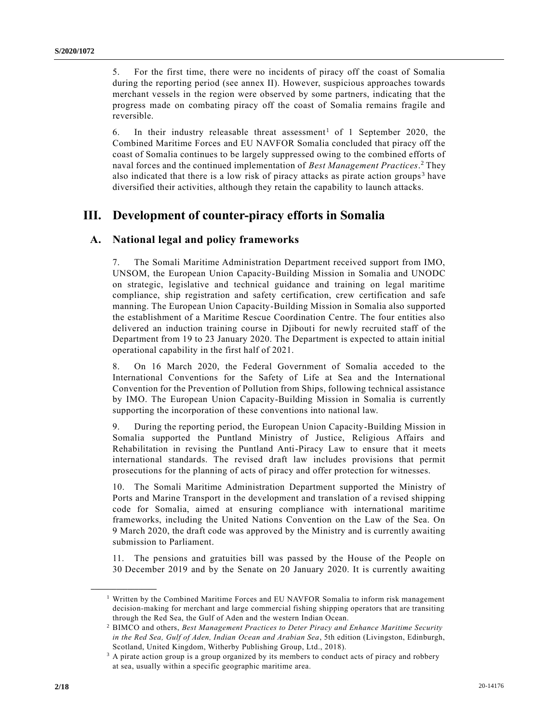5. For the first time, there were no incidents of piracy off the coast of Somalia during the reporting period (see annex II). However, suspicious approaches towards merchant vessels in the region were observed by some partners, indicating that the progress made on combating piracy off the coast of Somalia remains fragile and reversible.

6. In their industry releasable threat assessment<sup>1</sup> of 1 September 2020, the Combined Maritime Forces and EU NAVFOR Somalia concluded that piracy off the coast of Somalia continues to be largely suppressed owing to the combined efforts of naval forces and the continued implementation of *Best Management Practices*. <sup>2</sup> They also indicated that there is a low risk of piracy attacks as pirate action groups<sup>3</sup> have diversified their activities, although they retain the capability to launch attacks.

# **III. Development of counter-piracy efforts in Somalia**

#### **A. National legal and policy frameworks**

7. The Somali Maritime Administration Department received support from IMO, UNSOM, the European Union Capacity-Building Mission in Somalia and UNODC on strategic, legislative and technical guidance and training on legal maritime compliance, ship registration and safety certification, crew certification and safe manning. The European Union Capacity-Building Mission in Somalia also supported the establishment of a Maritime Rescue Coordination Centre. The four entities also delivered an induction training course in Djibouti for newly recruited staff of the Department from 19 to 23 January 2020. The Department is expected to attain initial operational capability in the first half of 2021.

8. On 16 March 2020, the Federal Government of Somalia acceded to the International Conventions for the Safety of Life at Sea and the International Convention for the Prevention of Pollution from Ships, following technical assistance by IMO. The European Union Capacity-Building Mission in Somalia is currently supporting the incorporation of these conventions into national law.

9. During the reporting period, the European Union Capacity-Building Mission in Somalia supported the Puntland Ministry of Justice, Religious Affairs and Rehabilitation in revising the Puntland Anti-Piracy Law to ensure that it meets international standards. The revised draft law includes provisions that permit prosecutions for the planning of acts of piracy and offer protection for witnesses.

10. The Somali Maritime Administration Department supported the Ministry of Ports and Marine Transport in the development and translation of a revised shipping code for Somalia, aimed at ensuring compliance with international maritime frameworks, including the United Nations Convention on the Law of the Sea. On 9 March 2020, the draft code was approved by the Ministry and is currently awaiting submission to Parliament.

11. The pensions and gratuities bill was passed by the House of the People on 30 December 2019 and by the Senate on 20 January 2020. It is currently awaiting

**\_\_\_\_\_\_\_\_\_\_\_\_\_\_\_\_\_\_**

<sup>&</sup>lt;sup>1</sup> Written by the Combined Maritime Forces and EU NAVFOR Somalia to inform risk management decision-making for merchant and large commercial fishing shipping operators that are transiting through the Red Sea, the Gulf of Aden and the western Indian Ocean.

<sup>2</sup> BIMCO and others, *Best Management Practices to Deter Piracy and Enhance Maritime Security in the Red Sea, Gulf of Aden, Indian Ocean and Arabian Sea*, 5th edition (Livingston, Edinburgh, Scotland, United Kingdom, Witherby Publishing Group, Ltd., 2018).

<sup>&</sup>lt;sup>3</sup> A pirate action group is a group organized by its members to conduct acts of piracy and robbery at sea, usually within a specific geographic maritime area.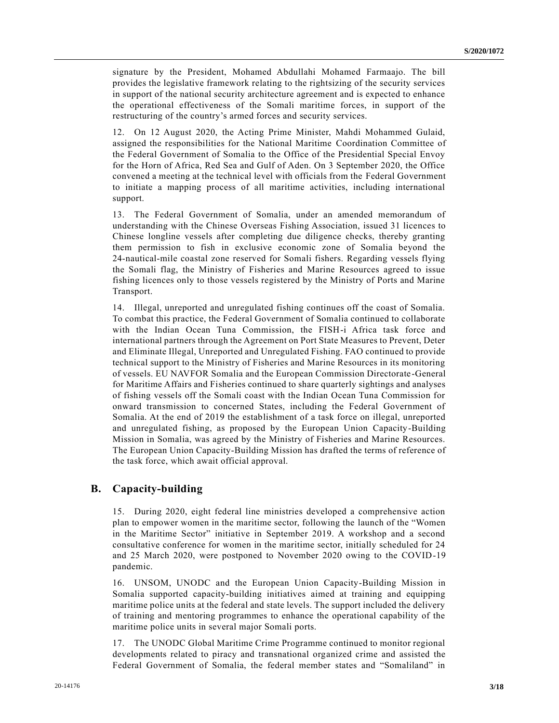signature by the President, Mohamed Abdullahi Mohamed Farmaajo. The bill provides the legislative framework relating to the rightsizing of the security services in support of the national security architecture agreement and is expected to enhance the operational effectiveness of the Somali maritime forces, in support of the restructuring of the country's armed forces and security services.

12. On 12 August 2020, the Acting Prime Minister, Mahdi Mohammed Gulaid, assigned the responsibilities for the National Maritime Coordination Committee of the Federal Government of Somalia to the Office of the Presidential Special Envoy for the Horn of Africa, Red Sea and Gulf of Aden. On 3 September 2020, the Office convened a meeting at the technical level with officials from the Federal Government to initiate a mapping process of all maritime activities, including international support.

13. The Federal Government of Somalia, under an amended memorandum of understanding with the Chinese Overseas Fishing Association, issued 31 licences to Chinese longline vessels after completing due diligence checks, thereby granting them permission to fish in exclusive economic zone of Somalia beyond the 24-nautical-mile coastal zone reserved for Somali fishers. Regarding vessels flying the Somali flag, the Ministry of Fisheries and Marine Resources agreed to issue fishing licences only to those vessels registered by the Ministry of Ports and Marine Transport.

14. Illegal, unreported and unregulated fishing continues off the coast of Somalia. To combat this practice, the Federal Government of Somalia continued to collaborate with the Indian Ocean Tuna Commission, the FISH-i Africa task force and international partners through the Agreement on Port State Measures to Prevent, Deter and Eliminate Illegal, Unreported and Unregulated Fishing. FAO continued to provide technical support to the Ministry of Fisheries and Marine Resources in its monitoring of vessels. EU NAVFOR Somalia and the European Commission Directorate -General for Maritime Affairs and Fisheries continued to share quarterly sightings and analyses of fishing vessels off the Somali coast with the Indian Ocean Tuna Commission for onward transmission to concerned States, including the Federal Government of Somalia. At the end of 2019 the establishment of a task force on illegal, unreported and unregulated fishing, as proposed by the European Union Capacity-Building Mission in Somalia, was agreed by the Ministry of Fisheries and Marine Resources. The European Union Capacity-Building Mission has drafted the terms of reference of the task force, which await official approval.

#### **B. Capacity-building**

15. During 2020, eight federal line ministries developed a comprehensive action plan to empower women in the maritime sector, following the launch of the "Women in the Maritime Sector" initiative in September 2019. A workshop and a second consultative conference for women in the maritime sector, initially scheduled for 24 and 25 March 2020, were postponed to November 2020 owing to the COVID-19 pandemic.

16. UNSOM, UNODC and the European Union Capacity-Building Mission in Somalia supported capacity-building initiatives aimed at training and equipping maritime police units at the federal and state levels. The support included the delivery of training and mentoring programmes to enhance the operational capability of the maritime police units in several major Somali ports.

17. The UNODC Global Maritime Crime Programme continued to monitor regional developments related to piracy and transnational organized crime and assisted the Federal Government of Somalia, the federal member states and "Somaliland" in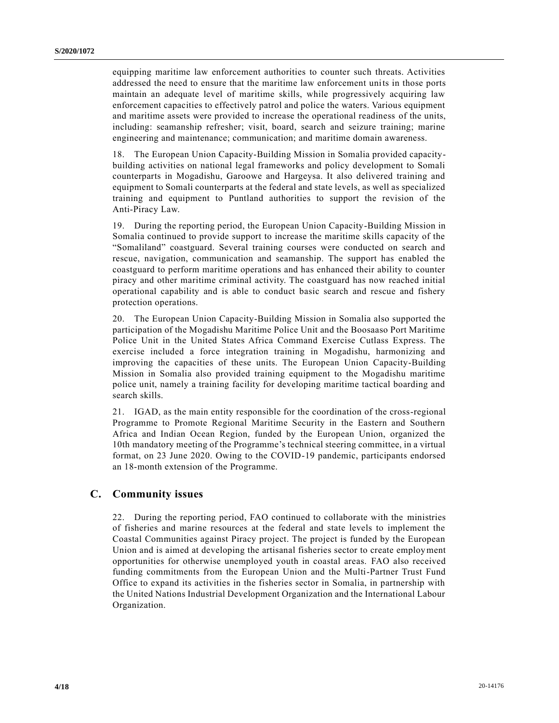equipping maritime law enforcement authorities to counter such threats. Activities addressed the need to ensure that the maritime law enforcement units in those ports maintain an adequate level of maritime skills, while progressively acquiring law enforcement capacities to effectively patrol and police the waters. Various equipment and maritime assets were provided to increase the operational readiness of the units, including: seamanship refresher; visit, board, search and seizure training; marine engineering and maintenance; communication; and maritime domain awareness.

18. The European Union Capacity-Building Mission in Somalia provided capacitybuilding activities on national legal frameworks and policy development to Somali counterparts in Mogadishu, Garoowe and Hargeysa. It also delivered training and equipment to Somali counterparts at the federal and state levels, as well as specialized training and equipment to Puntland authorities to support the revision of the Anti-Piracy Law.

19. During the reporting period, the European Union Capacity-Building Mission in Somalia continued to provide support to increase the maritime skills capacity of the "Somaliland" coastguard. Several training courses were conducted on search and rescue, navigation, communication and seamanship. The support has enabled the coastguard to perform maritime operations and has enhanced their ability to counter piracy and other maritime criminal activity. The coastguard has now reached initial operational capability and is able to conduct basic search and rescue and fishery protection operations.

20. The European Union Capacity-Building Mission in Somalia also supported the participation of the Mogadishu Maritime Police Unit and the Boosaaso Port Maritime Police Unit in the United States Africa Command Exercise Cutlass Express. The exercise included a force integration training in Mogadishu, harmonizing and improving the capacities of these units. The European Union Capacity-Building Mission in Somalia also provided training equipment to the Mogadishu maritime police unit, namely a training facility for developing maritime tactical boarding and search skills.

21. IGAD, as the main entity responsible for the coordination of the cross-regional Programme to Promote Regional Maritime Security in the Eastern and Southern Africa and Indian Ocean Region, funded by the European Union, organized the 10th mandatory meeting of the Programme's technical steering committee, in a virtual format, on 23 June 2020. Owing to the COVID-19 pandemic, participants endorsed an 18-month extension of the Programme.

#### **C. Community issues**

22. During the reporting period, FAO continued to collaborate with the ministries of fisheries and marine resources at the federal and state levels to implement the Coastal Communities against Piracy project. The project is funded by the European Union and is aimed at developing the artisanal fisheries sector to create employment opportunities for otherwise unemployed youth in coastal areas. FAO also received funding commitments from the European Union and the Multi-Partner Trust Fund Office to expand its activities in the fisheries sector in Somalia, in partnership with the United Nations Industrial Development Organization and the International Labour Organization.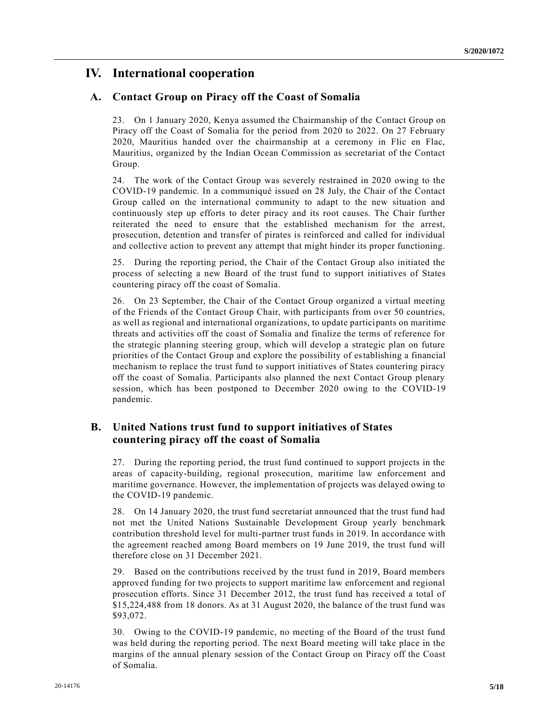# **IV. International cooperation**

#### **A. Contact Group on Piracy off the Coast of Somalia**

23. On 1 January 2020, Kenya assumed the Chairmanship of the Contact Group on Piracy off the Coast of Somalia for the period from 2020 to 2022. On 27 February 2020, Mauritius handed over the chairmanship at a ceremony in Flic en Flac, Mauritius, organized by the Indian Ocean Commission as secretariat of the Contact Group.

24. The work of the Contact Group was severely restrained in 2020 owing to the COVID-19 pandemic. In a communiqué issued on 28 July, the Chair of the Contact Group called on the international community to adapt to the new situation and continuously step up efforts to deter piracy and its root causes. The Chair further reiterated the need to ensure that the established mechanism for the arrest, prosecution, detention and transfer of pirates is reinforced and called for individual and collective action to prevent any attempt that might hinder its proper functioning.

25. During the reporting period, the Chair of the Contact Group also initiated the process of selecting a new Board of the trust fund to support initiatives of States countering piracy off the coast of Somalia.

26. On 23 September, the Chair of the Contact Group organized a virtual meeting of the Friends of the Contact Group Chair, with participants from over 50 countries, as well as regional and international organizations, to update participants on maritime threats and activities off the coast of Somalia and finalize the terms of reference for the strategic planning steering group, which will develop a strategic plan on future priorities of the Contact Group and explore the possibility of establishing a financial mechanism to replace the trust fund to support initiatives of States countering piracy off the coast of Somalia. Participants also planned the next Contact Group plenary session, which has been postponed to December 2020 owing to the COVID-19 pandemic.

### **B. United Nations trust fund to support initiatives of States countering piracy off the coast of Somalia**

27. During the reporting period, the trust fund continued to support projects in the areas of capacity-building, regional prosecution, maritime law enforcement and maritime governance. However, the implementation of projects was delayed owing to the COVID-19 pandemic.

28. On 14 January 2020, the trust fund secretariat announced that the trust fund had not met the United Nations Sustainable Development Group yearly benchmark contribution threshold level for multi-partner trust funds in 2019. In accordance with the agreement reached among Board members on 19 June 2019, the trust fund will therefore close on 31 December 2021.

29. Based on the contributions received by the trust fund in 2019, Board members approved funding for two projects to support maritime law enforcement and regional prosecution efforts. Since 31 December 2012, the trust fund has received a total of \$15,224,488 from 18 donors. As at 31 August 2020, the balance of the trust fund was \$93,072.

30. Owing to the COVID-19 pandemic, no meeting of the Board of the trust fund was held during the reporting period. The next Board meeting will take place in the margins of the annual plenary session of the Contact Group on Piracy off the Coast of Somalia.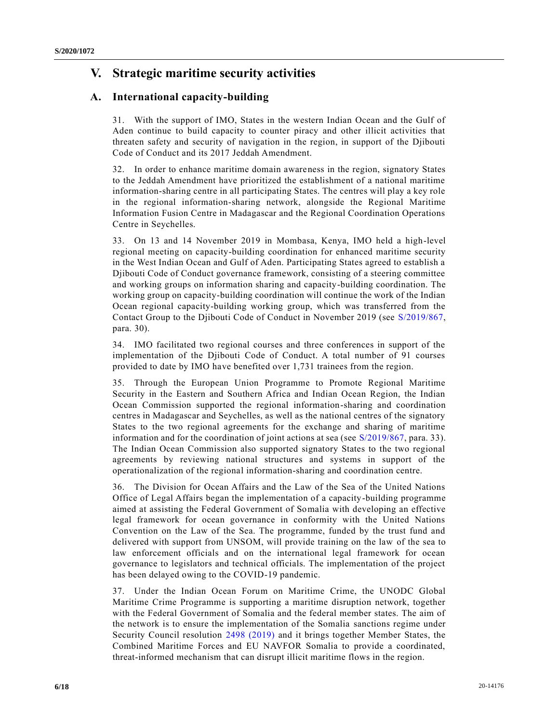# **V. Strategic maritime security activities**

### **A. International capacity-building**

31. With the support of IMO, States in the western Indian Ocean and the Gulf of Aden continue to build capacity to counter piracy and other illicit activities that threaten safety and security of navigation in the region, in support of the Djibouti Code of Conduct and its 2017 Jeddah Amendment.

32. In order to enhance maritime domain awareness in the region, signatory States to the Jeddah Amendment have prioritized the establishment of a national maritime information-sharing centre in all participating States. The centres will play a key role in the regional information-sharing network, alongside the Regional Maritime Information Fusion Centre in Madagascar and the Regional Coordination Operations Centre in Seychelles.

33. On 13 and 14 November 2019 in Mombasa, Kenya, IMO held a high-level regional meeting on capacity-building coordination for enhanced maritime security in the West Indian Ocean and Gulf of Aden. Participating States agreed to establish a Djibouti Code of Conduct governance framework, consisting of a steering committee and working groups on information sharing and capacity-building coordination. The working group on capacity-building coordination will continue the work of the Indian Ocean regional capacity-building working group, which was transferred from the Contact Group to the Djibouti Code of Conduct in November 2019 (see [S/2019/867,](https://undocs.org/en/S/2019/867) para. 30).

34. IMO facilitated two regional courses and three conferences in support of the implementation of the Djibouti Code of Conduct. A total number of 91 courses provided to date by IMO have benefited over 1,731 trainees from the region.

35. Through the European Union Programme to Promote Regional Maritime Security in the Eastern and Southern Africa and Indian Ocean Region, the Indian Ocean Commission supported the regional information-sharing and coordination centres in Madagascar and Seychelles, as well as the national centres of the signatory States to the two regional agreements for the exchange and sharing of maritime information and for the coordination of joint actions at sea (see [S/2019/867,](https://undocs.org/en/S/2019/867) para. 33). The Indian Ocean Commission also supported signatory States to the two regional agreements by reviewing national structures and systems in support of the operationalization of the regional information-sharing and coordination centre.

36. The Division for Ocean Affairs and the Law of the Sea of the United Nations Office of Legal Affairs began the implementation of a capacity-building programme aimed at assisting the Federal Government of Somalia with developing an effective legal framework for ocean governance in conformity with the United Nations Convention on the Law of the Sea. The programme, funded by the trust fund and delivered with support from UNSOM, will provide training on the law of the sea to law enforcement officials and on the international legal framework for ocean governance to legislators and technical officials. The implementation of the project has been delayed owing to the COVID-19 pandemic.

37. Under the Indian Ocean Forum on Maritime Crime, the UNODC Global Maritime Crime Programme is supporting a maritime disruption network, together with the Federal Government of Somalia and the federal member states. The aim of the network is to ensure the implementation of the Somalia sanctions regime under Security Council resolution [2498 \(2019\)](https://undocs.org/en/S/RES/2498(2019)) and it brings together Member States, the Combined Maritime Forces and EU NAVFOR Somalia to provide a coordinated, threat-informed mechanism that can disrupt illicit maritime flows in the region.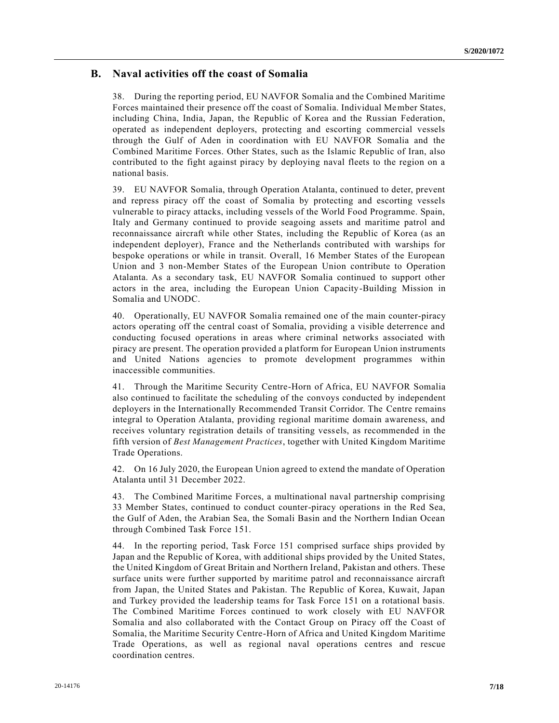### **B. Naval activities off the coast of Somalia**

38. During the reporting period, EU NAVFOR Somalia and the Combined Maritime Forces maintained their presence off the coast of Somalia. Individual Member States, including China, India, Japan, the Republic of Korea and the Russian Federation, operated as independent deployers, protecting and escorting commercial vessels through the Gulf of Aden in coordination with EU NAVFOR Somalia and the Combined Maritime Forces. Other States, such as the Islamic Republic of Iran, also contributed to the fight against piracy by deploying naval fleets to the region on a national basis.

39. EU NAVFOR Somalia, through Operation Atalanta, continued to deter, prevent and repress piracy off the coast of Somalia by protecting and escorting vessels vulnerable to piracy attacks, including vessels of the World Food Programme. Spain, Italy and Germany continued to provide seagoing assets and maritime patrol and reconnaissance aircraft while other States, including the Republic of Korea (as an independent deployer), France and the Netherlands contributed with warships for bespoke operations or while in transit. Overall, 16 Member States of the European Union and 3 non-Member States of the European Union contribute to Operation Atalanta. As a secondary task, EU NAVFOR Somalia continued to support other actors in the area, including the European Union Capacity-Building Mission in Somalia and UNODC.

40. Operationally, EU NAVFOR Somalia remained one of the main counter-piracy actors operating off the central coast of Somalia, providing a visible deterrence and conducting focused operations in areas where criminal networks associated with piracy are present. The operation provided a platform for European Union instruments and United Nations agencies to promote development programmes within inaccessible communities.

41. Through the Maritime Security Centre-Horn of Africa, EU NAVFOR Somalia also continued to facilitate the scheduling of the convoys conducted by independent deployers in the Internationally Recommended Transit Corridor. The Centre remains integral to Operation Atalanta, providing regional maritime domain awareness, and receives voluntary registration details of transiting vessels, as recommended in the fifth version of *Best Management Practices*, together with United Kingdom Maritime Trade Operations.

42. On 16 July 2020, the European Union agreed to extend the mandate of Operation Atalanta until 31 December 2022.

43. The Combined Maritime Forces, a multinational naval partnership comprising 33 Member States, continued to conduct counter-piracy operations in the Red Sea, the Gulf of Aden, the Arabian Sea, the Somali Basin and the Northern Indian Ocean through Combined Task Force 151.

44. In the reporting period, Task Force 151 comprised surface ships provided by Japan and the Republic of Korea, with additional ships provided by the United States, the United Kingdom of Great Britain and Northern Ireland, Pakistan and others. These surface units were further supported by maritime patrol and reconnaissance aircraft from Japan, the United States and Pakistan. The Republic of Korea, Kuwait, Japan and Turkey provided the leadership teams for Task Force 151 on a rotational basis. The Combined Maritime Forces continued to work closely with EU NAVFOR Somalia and also collaborated with the Contact Group on Piracy off the Coast of Somalia, the Maritime Security Centre-Horn of Africa and United Kingdom Maritime Trade Operations, as well as regional naval operations centres and rescue coordination centres.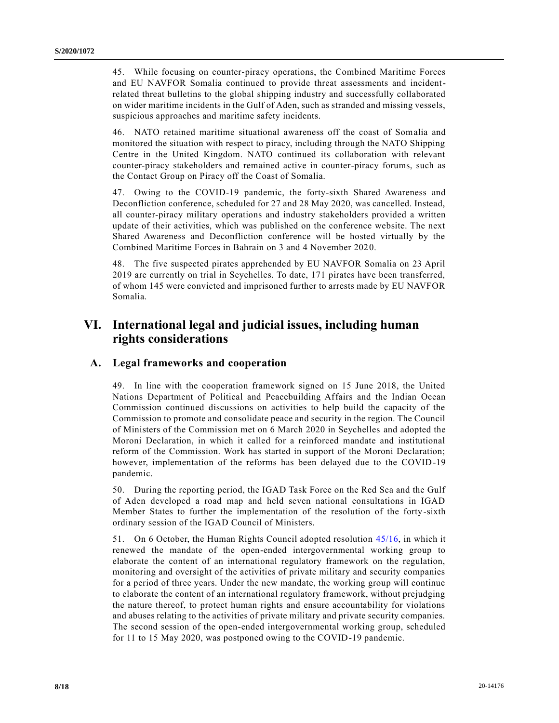45. While focusing on counter-piracy operations, the Combined Maritime Forces and EU NAVFOR Somalia continued to provide threat assessments and incidentrelated threat bulletins to the global shipping industry and successfully collaborated on wider maritime incidents in the Gulf of Aden, such as stranded and missing vessels, suspicious approaches and maritime safety incidents.

46. NATO retained maritime situational awareness off the coast of Somalia and monitored the situation with respect to piracy, including through the NATO Shipping Centre in the United Kingdom. NATO continued its collaboration with relevant counter-piracy stakeholders and remained active in counter-piracy forums, such as the Contact Group on Piracy off the Coast of Somalia.

47. Owing to the COVID-19 pandemic, the forty-sixth Shared Awareness and Deconfliction conference, scheduled for 27 and 28 May 2020, was cancelled. Instead, all counter-piracy military operations and industry stakeholders provided a written update of their activities, which was published on the conference website. The next Shared Awareness and Deconfliction conference will be hosted virtually by the Combined Maritime Forces in Bahrain on 3 and 4 November 2020.

48. The five suspected pirates apprehended by EU NAVFOR Somalia on 23 April 2019 are currently on trial in Seychelles. To date, 171 pirates have been transferred, of whom 145 were convicted and imprisoned further to arrests made by EU NAVFOR Somalia.

## **VI. International legal and judicial issues, including human rights considerations**

#### **A. Legal frameworks and cooperation**

49. In line with the cooperation framework signed on 15 June 2018, the United Nations Department of Political and Peacebuilding Affairs and the Indian Ocean Commission continued discussions on activities to help build the capacity of the Commission to promote and consolidate peace and security in the region. The Council of Ministers of the Commission met on 6 March 2020 in Seychelles and adopted the Moroni Declaration, in which it called for a reinforced mandate and institutional reform of the Commission. Work has started in support of the Moroni Declaration; however, implementation of the reforms has been delayed due to the COVID-19 pandemic.

50. During the reporting period, the IGAD Task Force on the Red Sea and the Gulf of Aden developed a road map and held seven national consultations in IGAD Member States to further the implementation of the resolution of the forty-sixth ordinary session of the IGAD Council of Ministers.

51. On 6 October, the Human Rights Council adopted resolution [45/16,](https://undocs.org/en/A/HRC/RES/45/16) in which it renewed the mandate of the open-ended intergovernmental working group to elaborate the content of an international regulatory framework on the regulation, monitoring and oversight of the activities of private military and security companies for a period of three years. Under the new mandate, the working group will continue to elaborate the content of an international regulatory framework, without prejudging the nature thereof, to protect human rights and ensure accountability for violations and abuses relating to the activities of private military and private security companies. The second session of the open-ended intergovernmental working group, scheduled for 11 to 15 May 2020, was postponed owing to the COVID-19 pandemic.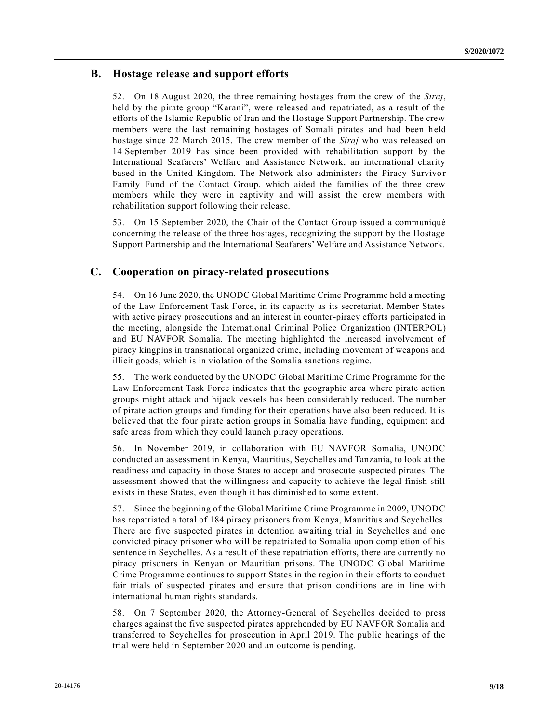### **B. Hostage release and support efforts**

52. On 18 August 2020, the three remaining hostages from the crew of the *Siraj*, held by the pirate group "Karani", were released and repatriated, as a result of the efforts of the Islamic Republic of Iran and the Hostage Support Partnership. The crew members were the last remaining hostages of Somali pirates and had been held hostage since 22 March 2015. The crew member of the *Siraj* who was released on 14 September 2019 has since been provided with rehabilitation support by the International Seafarers' Welfare and Assistance Network, an international charity based in the United Kingdom. The Network also administers the Piracy Survivor Family Fund of the Contact Group, which aided the families of the three crew members while they were in captivity and will assist the crew members with rehabilitation support following their release.

53. On 15 September 2020, the Chair of the Contact Group issued a communiqué concerning the release of the three hostages, recognizing the support by the Hostage Support Partnership and the International Seafarers' Welfare and Assistance Network.

#### **C. Cooperation on piracy-related prosecutions**

54. On 16 June 2020, the UNODC Global Maritime Crime Programme held a meeting of the Law Enforcement Task Force, in its capacity as its secretariat. Member States with active piracy prosecutions and an interest in counter-piracy efforts participated in the meeting, alongside the International Criminal Police Organization (INTERPOL) and EU NAVFOR Somalia. The meeting highlighted the increased involvement of piracy kingpins in transnational organized crime, including movement of weapons and illicit goods, which is in violation of the Somalia sanctions regime.

55. The work conducted by the UNODC Global Maritime Crime Programme for the Law Enforcement Task Force indicates that the geographic area where pirate action groups might attack and hijack vessels has been considerably reduced. The number of pirate action groups and funding for their operations have also been reduced. It is believed that the four pirate action groups in Somalia have funding, equipment and safe areas from which they could launch piracy operations.

56. In November 2019, in collaboration with EU NAVFOR Somalia, UNODC conducted an assessment in Kenya, Mauritius, Seychelles and Tanzania, to look at the readiness and capacity in those States to accept and prosecute suspected pirates. The assessment showed that the willingness and capacity to achieve the legal finish still exists in these States, even though it has diminished to some extent.

57. Since the beginning of the Global Maritime Crime Programme in 2009, UNODC has repatriated a total of 184 piracy prisoners from Kenya, Mauritius and Seychelles. There are five suspected pirates in detention awaiting trial in Seychelles and one convicted piracy prisoner who will be repatriated to Somalia upon completion of his sentence in Seychelles. As a result of these repatriation efforts, there are currently no piracy prisoners in Kenyan or Mauritian prisons. The UNODC Global Maritime Crime Programme continues to support States in the region in their efforts to conduct fair trials of suspected pirates and ensure that prison conditions are in line with international human rights standards.

58. On 7 September 2020, the Attorney-General of Seychelles decided to press charges against the five suspected pirates apprehended by EU NAVFOR Somalia and transferred to Seychelles for prosecution in April 2019. The public hearings of the trial were held in September 2020 and an outcome is pending.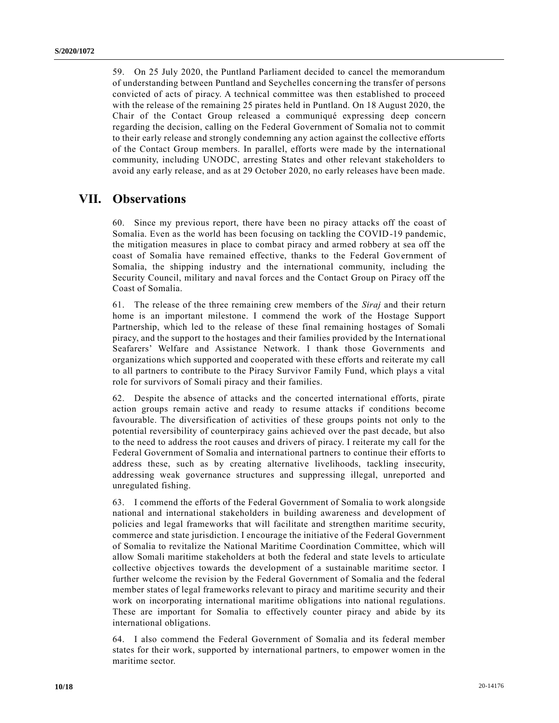59. On 25 July 2020, the Puntland Parliament decided to cancel the memorandum of understanding between Puntland and Seychelles concerning the transfer of persons convicted of acts of piracy. A technical committee was then established to proceed with the release of the remaining 25 pirates held in Puntland. On 18 August 2020, the Chair of the Contact Group released a communiqué expressing deep concern regarding the decision, calling on the Federal Government of Somalia not to commit to their early release and strongly condemning any action against the collective efforts of the Contact Group members. In parallel, efforts were made by the international community, including UNODC, arresting States and other relevant stakeholders to avoid any early release, and as at 29 October 2020, no early releases have been made.

### **VII. Observations**

60. Since my previous report, there have been no piracy attacks off the coast of Somalia. Even as the world has been focusing on tackling the COVID-19 pandemic, the mitigation measures in place to combat piracy and armed robbery at sea off the coast of Somalia have remained effective, thanks to the Federal Government of Somalia, the shipping industry and the international community, including the Security Council, military and naval forces and the Contact Group on Piracy off the Coast of Somalia.

61. The release of the three remaining crew members of the *Siraj* and their return home is an important milestone. I commend the work of the Hostage Support Partnership, which led to the release of these final remaining hostages of Somali piracy, and the support to the hostages and their families provided by the International Seafarers' Welfare and Assistance Network. I thank those Governments and organizations which supported and cooperated with these efforts and reiterate my call to all partners to contribute to the Piracy Survivor Family Fund, which plays a vital role for survivors of Somali piracy and their families.

62. Despite the absence of attacks and the concerted international efforts, pirate action groups remain active and ready to resume attacks if conditions become favourable. The diversification of activities of these groups points not only to the potential reversibility of counterpiracy gains achieved over the past decade, but also to the need to address the root causes and drivers of piracy. I reiterate my call for the Federal Government of Somalia and international partners to continue their efforts to address these, such as by creating alternative livelihoods, tackling insecurity, addressing weak governance structures and suppressing illegal, unreported and unregulated fishing.

63. I commend the efforts of the Federal Government of Somalia to work alongside national and international stakeholders in building awareness and development of policies and legal frameworks that will facilitate and strengthen maritime security, commerce and state jurisdiction. I encourage the initiative of the Federal Government of Somalia to revitalize the National Maritime Coordination Committee, which will allow Somali maritime stakeholders at both the federal and state levels to articulate collective objectives towards the development of a sustainable maritime sector. I further welcome the revision by the Federal Government of Somalia and the federal member states of legal frameworks relevant to piracy and maritime security and their work on incorporating international maritime obligations into national regulations. These are important for Somalia to effectively counter piracy and abide by its international obligations.

64. I also commend the Federal Government of Somalia and its federal member states for their work, supported by international partners, to empower women in the maritime sector.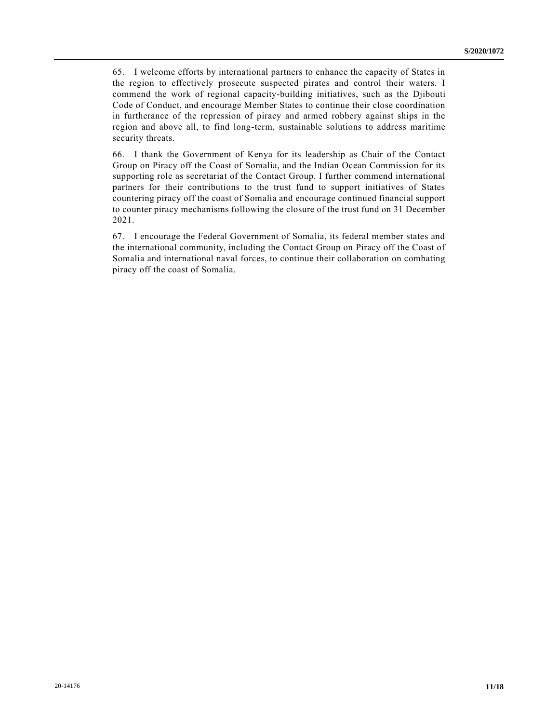65. I welcome efforts by international partners to enhance the capacity of States in the region to effectively prosecute suspected pirates and control their waters. I commend the work of regional capacity-building initiatives, such as the Djibouti Code of Conduct, and encourage Member States to continue their close coordination in furtherance of the repression of piracy and armed robbery against ships in the region and above all, to find long-term, sustainable solutions to address maritime security threats.

66. I thank the Government of Kenya for its leadership as Chair of the Contact Group on Piracy off the Coast of Somalia, and the Indian Ocean Commission for its supporting role as secretariat of the Contact Group. I further commend international partners for their contributions to the trust fund to support initiatives of States countering piracy off the coast of Somalia and encourage continued financial support to counter piracy mechanisms following the closure of the trust fund on 31 December 2021.

67. I encourage the Federal Government of Somalia, its federal member states and the international community, including the Contact Group on Piracy off the Coast of Somalia and international naval forces, to continue their collaboration on combating piracy off the coast of Somalia.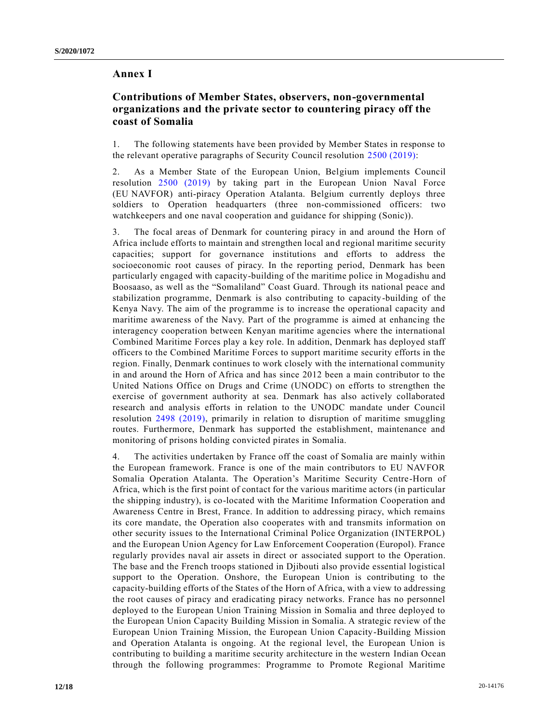#### **Annex I**

#### **Contributions of Member States, observers, non-governmental organizations and the private sector to countering piracy off the coast of Somalia**

1. The following statements have been provided by Member States in response to the relevant operative paragraphs of Security Council resolution [2500 \(2019\):](https://undocs.org/en/S/RES/2500(2019))

2. As a Member State of the European Union, Belgium implements Council resolution [2500 \(2019\)](https://undocs.org/en/S/RES/2500(2019)) by taking part in the European Union Naval Force (EU NAVFOR) anti-piracy Operation Atalanta. Belgium currently deploys three soldiers to Operation headquarters (three non-commissioned officers: two watchkeepers and one naval cooperation and guidance for shipping (Sonic)).

3. The focal areas of Denmark for countering piracy in and around the Horn of Africa include efforts to maintain and strengthen local and regional maritime security capacities; support for governance institutions and efforts to address the socioeconomic root causes of piracy. In the reporting period, Denmark has been particularly engaged with capacity-building of the maritime police in Mogadishu and Boosaaso, as well as the "Somaliland" Coast Guard. Through its national peace and stabilization programme, Denmark is also contributing to capacity-building of the Kenya Navy. The aim of the programme is to increase the operational capacity and maritime awareness of the Navy. Part of the programme is aimed at enhancing the interagency cooperation between Kenyan maritime agencies where the international Combined Maritime Forces play a key role. In addition, Denmark has deployed staff officers to the Combined Maritime Forces to support maritime security efforts in the region. Finally, Denmark continues to work closely with the international community in and around the Horn of Africa and has since 2012 been a main contributor to the United Nations Office on Drugs and Crime (UNODC) on efforts to strengthen the exercise of government authority at sea. Denmark has also actively collaborated research and analysis efforts in relation to the UNODC mandate under Council resolution [2498 \(2019\),](https://undocs.org/en/S/RES/2498(2019)) primarily in relation to disruption of maritime smuggling routes. Furthermore, Denmark has supported the establishment, maintenance and monitoring of prisons holding convicted pirates in Somalia.

4. The activities undertaken by France off the coast of Somalia are mainly within the European framework. France is one of the main contributors to EU NAVFOR Somalia Operation Atalanta. The Operation's Maritime Security Centre-Horn of Africa, which is the first point of contact for the various maritime actors (in particular the shipping industry), is co-located with the Maritime Information Cooperation and Awareness Centre in Brest, France. In addition to addressing piracy, which remains its core mandate, the Operation also cooperates with and transmits information on other security issues to the International Criminal Police Organization (INTERPOL) and the European Union Agency for Law Enforcement Cooperation (Europol). France regularly provides naval air assets in direct or associated support to the Operation. The base and the French troops stationed in Djibouti also provide essential logistical support to the Operation. Onshore, the European Union is contributing to the capacity-building efforts of the States of the Horn of Africa, with a view to addressing the root causes of piracy and eradicating piracy networks. France has no personnel deployed to the European Union Training Mission in Somalia and three deployed to the European Union Capacity Building Mission in Somalia. A strategic review of the European Union Training Mission, the European Union Capacity-Building Mission and Operation Atalanta is ongoing. At the regional level, the European Union is contributing to building a maritime security architecture in the western Indian Ocean through the following programmes: Programme to Promote Regional Maritime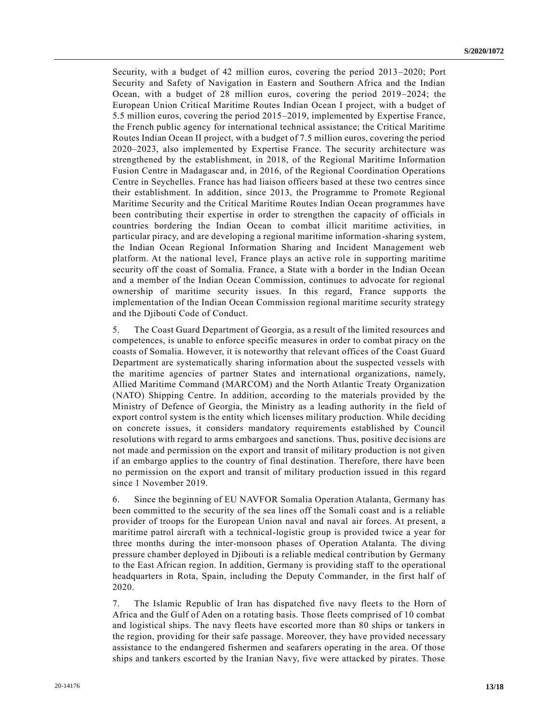Security, with a budget of 42 million euros, covering the period 2013–2020; Port Security and Safety of Navigation in Eastern and Southern Africa and the Indian Ocean, with a budget of 28 million euros, covering the period 2019–2024; the European Union Critical Maritime Routes Indian Ocean I project, with a budget of 5.5 million euros, covering the period 2015–2019, implemented by Expertise France, the French public agency for international technical assistance; the Critical Maritime Routes Indian Ocean II project, with a budget of 7.5 million euros, covering the period 2020–2023, also implemented by Expertise France. The security architecture was strengthened by the establishment, in 2018, of the Regional Maritime Information Fusion Centre in Madagascar and, in 2016, of the Regional Coordination Operations Centre in Seychelles. France has had liaison officers based at these two centres since their establishment. In addition, since 2013, the Programme to Promote Regional Maritime Security and the Critical Maritime Routes Indian Ocean programmes have been contributing their expertise in order to strengthen the capacity of officials in countries bordering the Indian Ocean to combat illicit maritime activities, in particular piracy, and are developing a regional maritime information-sharing system, the Indian Ocean Regional Information Sharing and Incident Management web platform. At the national level, France plays an active role in supporting maritime security off the coast of Somalia. France, a State with a border in the Indian Ocean and a member of the Indian Ocean Commission, continues to advocate for regional ownership of maritime security issues. In this regard, France supports the implementation of the Indian Ocean Commission regional maritime security strategy and the Djibouti Code of Conduct.

5. The Coast Guard Department of Georgia, as a result of the limited resources and competences, is unable to enforce specific measures in order to combat piracy on the coasts of Somalia. However, it is noteworthy that relevant offices of the Coast Guard Department are systematically sharing information about the suspected vessels with the maritime agencies of partner States and international organizations, namely, Allied Maritime Command (MARCOM) and the North Atlantic Treaty Organization (NATO) Shipping Centre. In addition, according to the materials provided by the Ministry of Defence of Georgia, the Ministry as a leading authority in the field of export control system is the entity which licenses military production. While deciding on concrete issues, it considers mandatory requirements established by Council resolutions with regard to arms embargoes and sanctions. Thus, positive decisions are not made and permission on the export and transit of military production is not given if an embargo applies to the country of final destination. Therefore, there have been no permission on the export and transit of military production issued in this regard since 1 November 2019.

6. Since the beginning of EU NAVFOR Somalia Operation Atalanta, Germany has been committed to the security of the sea lines off the Somali coast and is a reliable provider of troops for the European Union naval and naval air forces. At present, a maritime patrol aircraft with a technical-logistic group is provided twice a year for three months during the inter-monsoon phases of Operation Atalanta. The diving pressure chamber deployed in Djibouti is a reliable medical contribution by Germany to the East African region. In addition, Germany is providing staff to the operational headquarters in Rota, Spain, including the Deputy Commander, in the first half of 2020.

7. The Islamic Republic of Iran has dispatched five navy fleets to the Horn of Africa and the Gulf of Aden on a rotating basis. Those fleets comprised of 10 combat and logistical ships. The navy fleets have escorted more than 80 ships or tankers in the region, providing for their safe passage. Moreover, they have provided necessary assistance to the endangered fishermen and seafarers operating in the area. Of those ships and tankers escorted by the Iranian Navy, five were attacked by pirates. Those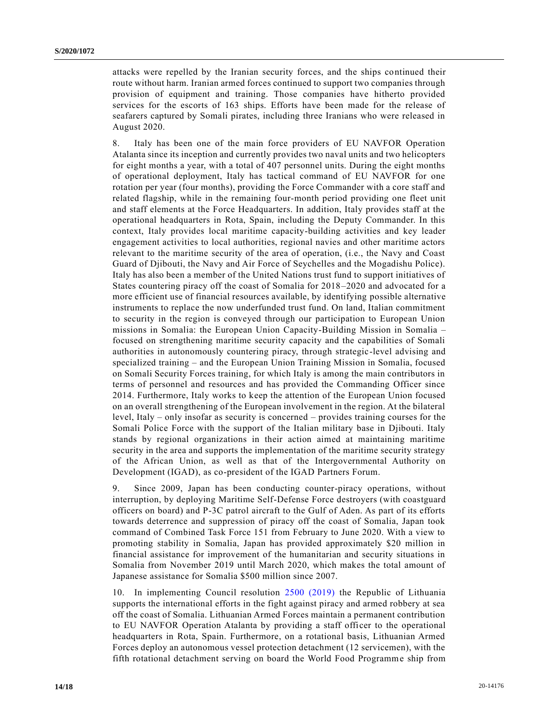attacks were repelled by the Iranian security forces, and the ships continued their route without harm. Iranian armed forces continued to support two companies through provision of equipment and training. Those companies have hitherto provided services for the escorts of 163 ships. Efforts have been made for the release of seafarers captured by Somali pirates, including three Iranians who were released in August 2020.

8. Italy has been one of the main force providers of EU NAVFOR Operation Atalanta since its inception and currently provides two naval units and two helicopters for eight months a year, with a total of 407 personnel units. During the eight months of operational deployment, Italy has tactical command of EU NAVFOR for one rotation per year (four months), providing the Force Commander with a core staff and related flagship, while in the remaining four-month period providing one fleet unit and staff elements at the Force Headquarters. In addition, Italy provides staff at the operational headquarters in Rota, Spain, including the Deputy Commander. In this context, Italy provides local maritime capacity-building activities and key leader engagement activities to local authorities, regional navies and other maritime actors relevant to the maritime security of the area of operation, (i.e., the Navy and Coast Guard of Djibouti, the Navy and Air Force of Seychelles and the Mogadishu Police). Italy has also been a member of the United Nations trust fund to support initiatives of States countering piracy off the coast of Somalia for 2018–2020 and advocated for a more efficient use of financial resources available, by identifying possible alternative instruments to replace the now underfunded trust fund. On land, Italian commitment to security in the region is conveyed through our participation to European Union missions in Somalia: the European Union Capacity-Building Mission in Somalia – focused on strengthening maritime security capacity and the capabilities of Somali authorities in autonomously countering piracy, through strategic-level advising and specialized training – and the European Union Training Mission in Somalia, focused on Somali Security Forces training, for which Italy is among the main contributors in terms of personnel and resources and has provided the Commanding Officer since 2014. Furthermore, Italy works to keep the attention of the European Union focused on an overall strengthening of the European involvement in the region. At the bilateral level, Italy – only insofar as security is concerned – provides training courses for the Somali Police Force with the support of the Italian military base in Djibouti. Italy stands by regional organizations in their action aimed at maintaining maritime security in the area and supports the implementation of the maritime security strategy of the African Union, as well as that of the Intergovernmental Authority on Development (IGAD), as co-president of the IGAD Partners Forum.

9. Since 2009, Japan has been conducting counter-piracy operations, without interruption, by deploying Maritime Self-Defense Force destroyers (with coastguard officers on board) and P-3C patrol aircraft to the Gulf of Aden. As part of its efforts towards deterrence and suppression of piracy off the coast of Somalia, Japan took command of Combined Task Force 151 from February to June 2020. With a view to promoting stability in Somalia, Japan has provided approximately \$20 million in financial assistance for improvement of the humanitarian and security situations in Somalia from November 2019 until March 2020, which makes the total amount of Japanese assistance for Somalia \$500 million since 2007.

10. In implementing Council resolution [2500 \(2019\)](https://undocs.org/en/S/RES/2500(2019)) the Republic of Lithuania supports the international efforts in the fight against piracy and armed robbery at sea off the coast of Somalia. Lithuanian Armed Forces maintain a permanent contribution to EU NAVFOR Operation Atalanta by providing a staff officer to the operational headquarters in Rota, Spain. Furthermore, on a rotational basis, Lithuanian Armed Forces deploy an autonomous vessel protection detachment (12 servicemen), with the fifth rotational detachment serving on board the World Food Programme ship from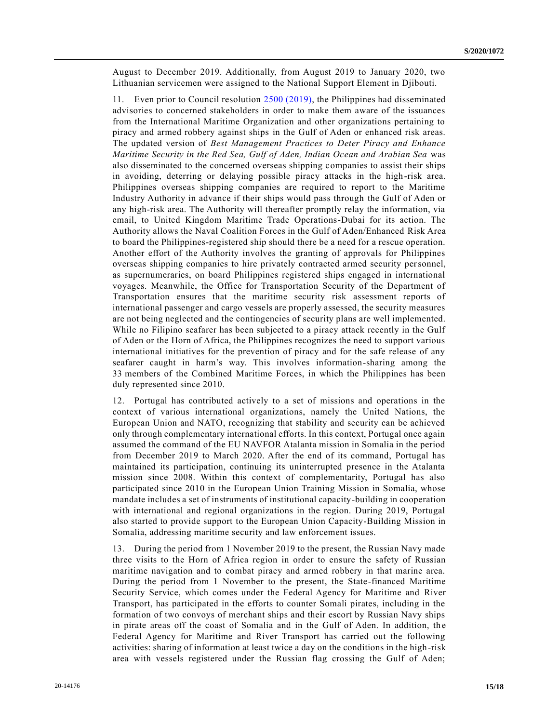August to December 2019. Additionally, from August 2019 to January 2020, two Lithuanian servicemen were assigned to the National Support Element in Djibouti.

11. Even prior to Council resolution [2500 \(2019\),](https://undocs.org/en/S/RES/2500(2019)) the Philippines had disseminated advisories to concerned stakeholders in order to make them aware of the issuances from the International Maritime Organization and other organizations pertaining to piracy and armed robbery against ships in the Gulf of Aden or enhanced risk areas. The updated version of *Best Management Practices to Deter Piracy and Enhance Maritime Security in the Red Sea, Gulf of Aden, Indian Ocean and Arabian Sea* was also disseminated to the concerned overseas shipping companies to assist their ships in avoiding, deterring or delaying possible piracy attacks in the high-risk area. Philippines overseas shipping companies are required to report to the Maritime Industry Authority in advance if their ships would pass through the Gulf of Aden or any high-risk area. The Authority will thereafter promptly relay the information, via email, to United Kingdom Maritime Trade Operations-Dubai for its action. The Authority allows the Naval Coalition Forces in the Gulf of Aden/Enhanced Risk Area to board the Philippines-registered ship should there be a need for a rescue operation. Another effort of the Authority involves the granting of approvals for Philippines overseas shipping companies to hire privately contracted armed security personnel, as supernumeraries, on board Philippines registered ships engaged in international voyages. Meanwhile, the Office for Transportation Security of the Department of Transportation ensures that the maritime security risk assessment reports of international passenger and cargo vessels are properly assessed, the security measures are not being neglected and the contingencies of security plans are well implemented. While no Filipino seafarer has been subjected to a piracy attack recently in the Gulf of Aden or the Horn of Africa, the Philippines recognizes the need to support various international initiatives for the prevention of piracy and for the safe release of any seafarer caught in harm's way. This involves information-sharing among the 33 members of the Combined Maritime Forces, in which the Philippines has been duly represented since 2010.

12. Portugal has contributed actively to a set of missions and operations in the context of various international organizations, namely the United Nations, the European Union and NATO, recognizing that stability and security can be achieved only through complementary international efforts. In this context, Portugal once again assumed the command of the EU NAVFOR Atalanta mission in Somalia in the period from December 2019 to March 2020. After the end of its command, Portugal has maintained its participation, continuing its uninterrupted presence in the Atalanta mission since 2008. Within this context of complementarity, Portugal has also participated since 2010 in the European Union Training Mission in Somalia, whose mandate includes a set of instruments of institutional capacity-building in cooperation with international and regional organizations in the region. During 2019, Portugal also started to provide support to the European Union Capacity-Building Mission in Somalia, addressing maritime security and law enforcement issues.

13. During the period from 1 November 2019 to the present, the Russian Navy made three visits to the Horn of Africa region in order to ensure the safety of Russian maritime navigation and to combat piracy and armed robbery in that marine area. During the period from 1 November to the present, the State-financed Maritime Security Service, which comes under the Federal Agency for Maritime and River Transport, has participated in the efforts to counter Somali pirates, including in the formation of two convoys of merchant ships and their escort by Russian Navy ships in pirate areas off the coast of Somalia and in the Gulf of Aden. In addition, the Federal Agency for Maritime and River Transport has carried out the following activities: sharing of information at least twice a day on the conditions in the high-risk area with vessels registered under the Russian flag crossing the Gulf of Aden;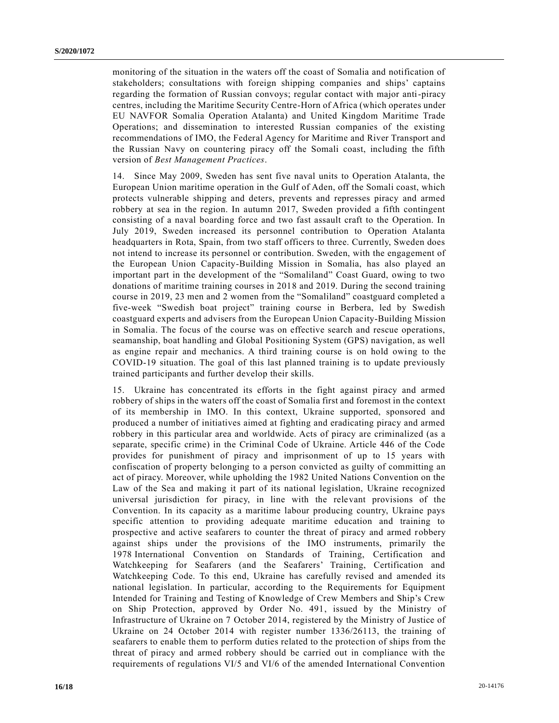monitoring of the situation in the waters off the coast of Somalia and notification of stakeholders; consultations with foreign shipping companies and ships' captains regarding the formation of Russian convoys; regular contact with major anti-piracy centres, including the Maritime Security Centre-Horn of Africa (which operates under EU NAVFOR Somalia Operation Atalanta) and United Kingdom Maritime Trade Operations; and dissemination to interested Russian companies of the existing recommendations of IMO, the Federal Agency for Maritime and River Transport and the Russian Navy on countering piracy off the Somali coast, including the fifth version of *Best Management Practices*.

14. Since May 2009, Sweden has sent five naval units to Operation Atalanta, the European Union maritime operation in the Gulf of Aden, off the Somali coast, which protects vulnerable shipping and deters, prevents and represses piracy and armed robbery at sea in the region. In autumn 2017, Sweden provided a fifth contingent consisting of a naval boarding force and two fast assault craft to the Operation. In July 2019, Sweden increased its personnel contribution to Operation Atalanta headquarters in Rota, Spain, from two staff officers to three. Currently, Sweden does not intend to increase its personnel or contribution. Sweden, with the engagement of the European Union Capacity-Building Mission in Somalia, has also played an important part in the development of the "Somaliland" Coast Guard, owing to two donations of maritime training courses in 2018 and 2019. During the second training course in 2019, 23 men and 2 women from the "Somaliland" coastguard completed a five-week "Swedish boat project" training course in Berbera, led by Swedish coastguard experts and advisers from the European Union Capacity-Building Mission in Somalia. The focus of the course was on effective search and rescue operations, seamanship, boat handling and Global Positioning System (GPS) navigation, as well as engine repair and mechanics. A third training course is on hold owing to the COVID-19 situation. The goal of this last planned training is to update previously trained participants and further develop their skills.

15. Ukraine has concentrated its efforts in the fight against piracy and armed robbery of ships in the waters off the coast of Somalia first and foremost in the context of its membership in IMO. In this context, Ukraine supported, sponsored and produced a number of initiatives aimed at fighting and eradicating piracy and armed robbery in this particular area and worldwide. Acts of piracy are criminalized (as a separate, specific crime) in the Criminal Code of Ukraine. Article 446 of the Code provides for punishment of piracy and imprisonment of up to 15 years with confiscation of property belonging to a person convicted as guilty of committing an act of piracy. Moreover, while upholding the 1982 United Nations Convention on the Law of the Sea and making it part of its national legislation, Ukraine recognized universal jurisdiction for piracy, in line with the relevant provisions of the Convention. In its capacity as a maritime labour producing country, Ukraine pays specific attention to providing adequate maritime education and training to prospective and active seafarers to counter the threat of piracy and armed robbery against ships under the provisions of the IMO instruments, primarily the 1978 International Convention on Standards of Training, Certification and Watchkeeping for Seafarers (and the Seafarers' Training, Certification and Watchkeeping Code. To this end, Ukraine has carefully revised and amended its national legislation. In particular, according to the Requirements for Equipment Intended for Training and Testing of Knowledge of Crew Members and Ship's Crew on Ship Protection, approved by Order No. 491, issued by the Ministry of Infrastructure of Ukraine on 7 October 2014, registered by the Ministry of Justice of Ukraine on 24 October 2014 with register number 1336/26113, the training of seafarers to enable them to perform duties related to the protection of ships from the threat of piracy and armed robbery should be carried out in compliance with the requirements of regulations VI/5 and VI/6 of the amended International Convention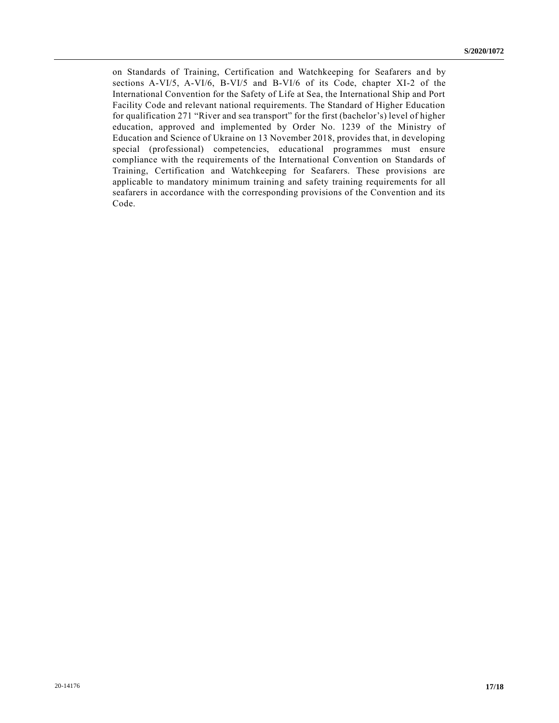on Standards of Training, Certification and Watchkeeping for Seafarers and by sections A-VI/5, A-VI/6, B-VI/5 and B-VI/6 of its Code, chapter XI-2 of the International Convention for the Safety of Life at Sea, the International Ship and Port Facility Code and relevant national requirements. The Standard of Higher Education for qualification 271 "River and sea transport" for the first (bachelor's) level of higher education, approved and implemented by Order No. 1239 of the Ministry of Education and Science of Ukraine on 13 November 2018, provides that, in developing special (professional) competencies, educational programmes must ensure compliance with the requirements of the International Convention on Standards of Training, Certification and Watchkeeping for Seafarers. These provisions are applicable to mandatory minimum training and safety training requirements for all seafarers in accordance with the corresponding provisions of the Convention and its Code.